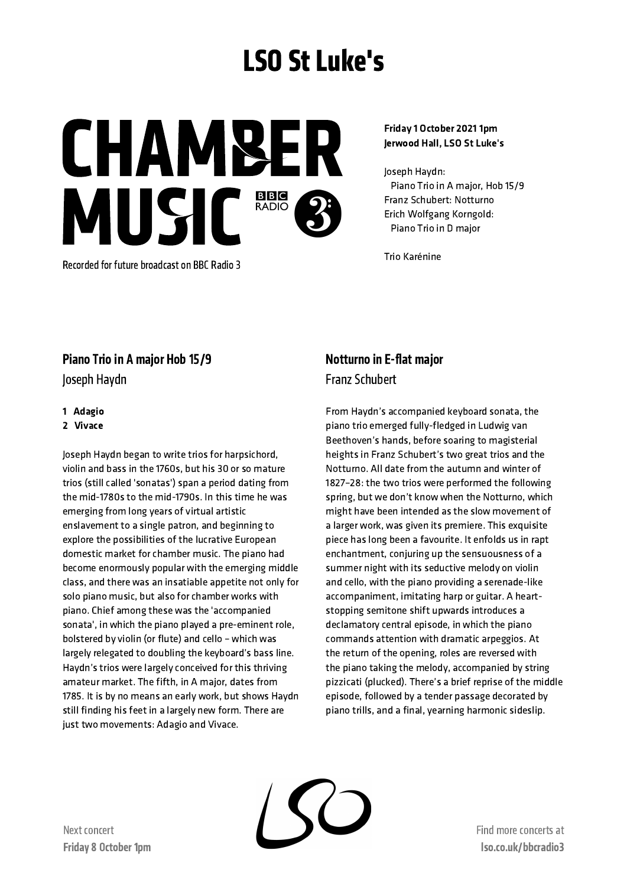# LSO St Luke's

CHAMBE MUSIC<sup>BBB</sup>

Recorded for future broadcast on BBC Radio 3

#### Friday 1 October 2021 1pm Jerwood Hall, LSO St Luke's

Joseph Haydn: Piano Trio in A major, Hob 15/9 Franz Schubert: Notturno Erich Wolfgang Korngold: Piano Trio in D major

Trio Karénine

## Piano Trio in A major Hob 15/9

Joseph Haydn

#### 1 Adagio

#### 2 Vivace

Joseph Haydn began to write trios for harpsichord, violin and bass in the 1760s, but his 30 or so mature trios (still called 'sonatas') span a period dating from the mid-1780s to the mid-1790s. In this time he was emerging from long years of virtual artistic enslavement to a single patron, and beginning to explore the possibilities of the lucrative European domestic market for chamber music. The piano had become enormously popular with the emerging middle class, and there was an insatiable appetite not only for solo piano music, but also for chamber works with piano. Chief among these was the 'accompanied sonata', in which the piano played a pre-eminent role, bolstered by violin (or flute) and cello – which was largely relegated to doubling the keyboard's bass line. Haydn's trios were largely conceived for this thriving amateur market. The fifth, in A major, dates from 1785. It is by no means an early work, but shows Haydn still finding his feet in a largely new form. There are just two movements: Adagio and Vivace.

## Notturno in E-flat major Franz Schubert

From Haydn's accompanied keyboard sonata, the piano trio emerged fully-fledged in Ludwig van Beethoven's hands, before soaring to magisterial heights in Franz Schubert's two great trios and the Notturno. All date from the autumn and winter of 1827–28: the two trios were performed the following spring, but we don't know when the Notturno, which might have been intended as the slow movement of a larger work, was given its premiere. This exquisite piece has long been a favourite. It enfolds us in rapt enchantment, conjuring up the sensuousness of a summer night with its seductive melody on violin and cello, with the piano providing a serenade-like accompaniment, imitating harp or guitar. A heartstopping semitone shift upwards introduces a declamatory central episode, in which the piano commands attention with dramatic arpeggios. At the return of the opening, roles are reversed with the piano taking the melody, accompanied by string pizzicati (plucked). There's a brief reprise of the middle episode, followed by a tender passage decorated by piano trills, and a final, yearning harmonic sideslip.



Find more concertsat lso.co.uk/bbcradio3

Next concert Friday 8 October 1pm